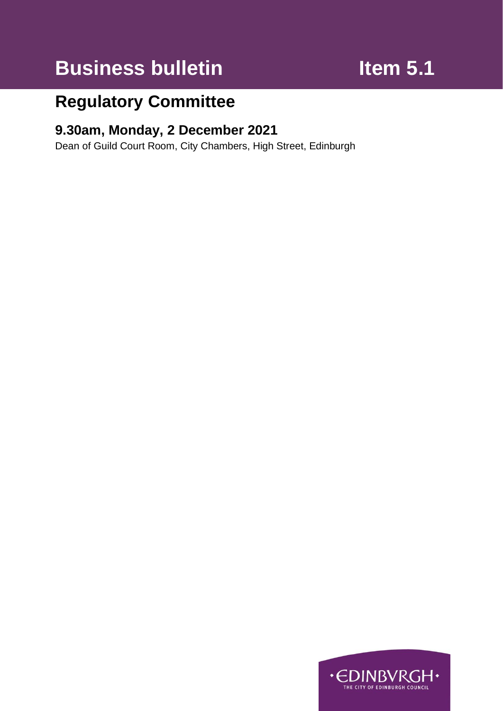# **Business bulletin Item 5.1**

## **Regulatory Committee**

## **9.30am, Monday, 2 December 2021**

Dean of Guild Court Room, City Chambers, High Street, Edinburgh

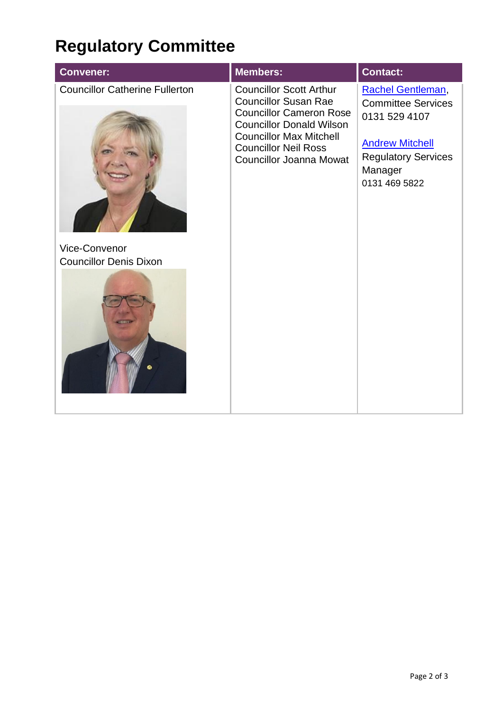# **Regulatory Committee**

| <b>Convener:</b>                                       | <b>Members:</b>                                                                                                                                                                                                                       | <b>Contact:</b>                                                                                                                                     |
|--------------------------------------------------------|---------------------------------------------------------------------------------------------------------------------------------------------------------------------------------------------------------------------------------------|-----------------------------------------------------------------------------------------------------------------------------------------------------|
| <b>Councillor Catherine Fullerton</b><br>Vice-Convenor | <b>Councillor Scott Arthur</b><br><b>Councillor Susan Rae</b><br><b>Councillor Cameron Rose</b><br><b>Councillor Donald Wilson</b><br><b>Councillor Max Mitchell</b><br><b>Councillor Neil Ross</b><br><b>Councillor Joanna Mowat</b> | Rachel Gentleman,<br><b>Committee Services</b><br>0131 529 4107<br><b>Andrew Mitchell</b><br><b>Regulatory Services</b><br>Manager<br>0131 469 5822 |
| <b>Councillor Denis Dixon</b>                          |                                                                                                                                                                                                                                       |                                                                                                                                                     |